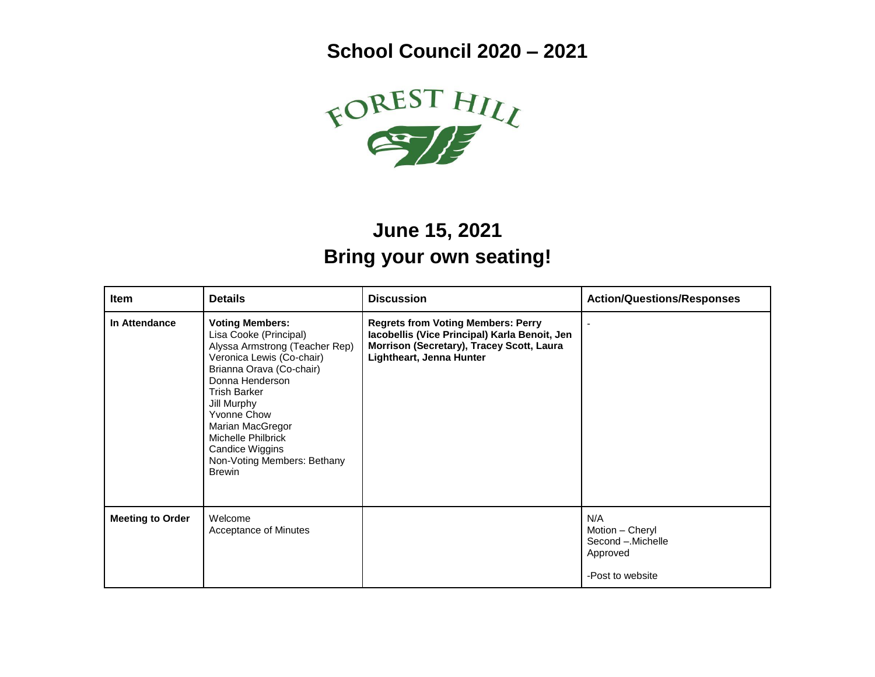**School Council 2020 – 2021**



## **June 15, 2021 Bring your own seating!**

| Item                    | <b>Details</b>                                                                                                                                                                                                                                                                                                                                 | <b>Discussion</b>                                                                                                                                                   | <b>Action/Questions/Responses</b>                                           |
|-------------------------|------------------------------------------------------------------------------------------------------------------------------------------------------------------------------------------------------------------------------------------------------------------------------------------------------------------------------------------------|---------------------------------------------------------------------------------------------------------------------------------------------------------------------|-----------------------------------------------------------------------------|
| In Attendance           | <b>Voting Members:</b><br>Lisa Cooke (Principal)<br>Alyssa Armstrong (Teacher Rep)<br>Veronica Lewis (Co-chair)<br>Brianna Orava (Co-chair)<br>Donna Henderson<br><b>Trish Barker</b><br>Jill Murphy<br><b>Yvonne Chow</b><br>Marian MacGregor<br>Michelle Philbrick<br><b>Candice Wiggins</b><br>Non-Voting Members: Bethany<br><b>Brewin</b> | <b>Regrets from Voting Members: Perry</b><br>Iacobellis (Vice Principal) Karla Benoit, Jen<br>Morrison (Secretary), Tracey Scott, Laura<br>Lightheart, Jenna Hunter |                                                                             |
| <b>Meeting to Order</b> | Welcome<br>Acceptance of Minutes                                                                                                                                                                                                                                                                                                               |                                                                                                                                                                     | N/A<br>Motion - Cheryl<br>Second - Michelle<br>Approved<br>-Post to website |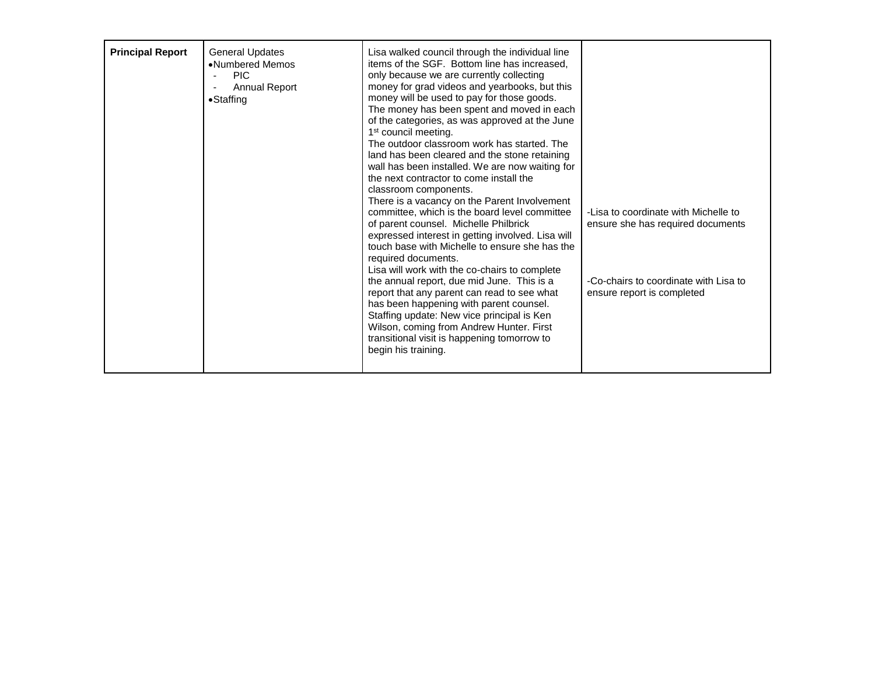| <b>Principal Report</b> | <b>General Updates</b><br>•Numbered Memos<br><b>PIC</b><br>Annual Report<br>$\bullet$ Staffing | Lisa walked council through the individual line<br>items of the SGF. Bottom line has increased,<br>only because we are currently collecting<br>money for grad videos and yearbooks, but this<br>money will be used to pay for those goods.<br>The money has been spent and moved in each<br>of the categories, as was approved at the June<br>1 <sup>st</sup> council meeting.<br>The outdoor classroom work has started. The<br>land has been cleared and the stone retaining<br>wall has been installed. We are now waiting for<br>the next contractor to come install the<br>classroom components.<br>There is a vacancy on the Parent Involvement<br>committee, which is the board level committee<br>of parent counsel. Michelle Philbrick<br>expressed interest in getting involved. Lisa will<br>touch base with Michelle to ensure she has the<br>required documents.<br>Lisa will work with the co-chairs to complete<br>the annual report, due mid June. This is a<br>report that any parent can read to see what<br>has been happening with parent counsel.<br>Staffing update: New vice principal is Ken<br>Wilson, coming from Andrew Hunter. First<br>transitional visit is happening tomorrow to<br>begin his training. | -Lisa to coordinate with Michelle to<br>ensure she has required documents<br>-Co-chairs to coordinate with Lisa to<br>ensure report is completed |
|-------------------------|------------------------------------------------------------------------------------------------|----------------------------------------------------------------------------------------------------------------------------------------------------------------------------------------------------------------------------------------------------------------------------------------------------------------------------------------------------------------------------------------------------------------------------------------------------------------------------------------------------------------------------------------------------------------------------------------------------------------------------------------------------------------------------------------------------------------------------------------------------------------------------------------------------------------------------------------------------------------------------------------------------------------------------------------------------------------------------------------------------------------------------------------------------------------------------------------------------------------------------------------------------------------------------------------------------------------------------------------|--------------------------------------------------------------------------------------------------------------------------------------------------|
|-------------------------|------------------------------------------------------------------------------------------------|----------------------------------------------------------------------------------------------------------------------------------------------------------------------------------------------------------------------------------------------------------------------------------------------------------------------------------------------------------------------------------------------------------------------------------------------------------------------------------------------------------------------------------------------------------------------------------------------------------------------------------------------------------------------------------------------------------------------------------------------------------------------------------------------------------------------------------------------------------------------------------------------------------------------------------------------------------------------------------------------------------------------------------------------------------------------------------------------------------------------------------------------------------------------------------------------------------------------------------------|--------------------------------------------------------------------------------------------------------------------------------------------------|